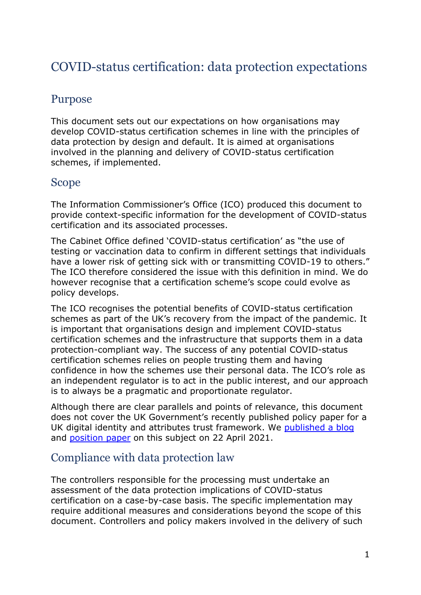# COVID-status certification: data protection expectations

# Purpose

This document sets out our expectations on how organisations may develop COVID-status certification schemes in line with the principles of data protection by design and default. It is aimed at organisations involved in the planning and delivery of COVID-status certification schemes, if implemented.

## Scope

The Information Commissioner's Office (ICO) produced this document to provide context-specific information for the development of COVID-status certification and its associated processes.

The Cabinet Office defined 'COVID-status certification' as "the use of testing or vaccination data to confirm in different settings that individuals have a lower risk of getting sick with or transmitting COVID-19 to others." The ICO therefore considered the issue with this definition in mind. We do however recognise that a certification scheme's scope could evolve as policy develops.

The ICO recognises the potential benefits of COVID-status certification schemes as part of the UK's recovery from the impact of the pandemic. It is important that organisations design and implement COVID-status certification schemes and the infrastructure that supports them in a data protection-compliant way. The success of any potential COVID-status certification schemes relies on people trusting them and having confidence in how the schemes use their personal data. The ICO's role as an independent regulator is to act in the public interest, and our approach is to always be a pragmatic and proportionate regulator.

Although there are clear parallels and points of relevance, this document does not cover the UK Government's recently published policy paper for a UK digital identity and attributes trust framework. We [published a blog](https://ico.org.uk/about-the-ico/news-and-events/news-and-blogs/2021/04/data-protection-is-an-enabler-for-trust-and-confidence-in-the-implementation-of-digital-identity-systems/) and [position paper](https://ico.org.uk/media/about-the-ico/documents/2619686/ico-digital-identity-position-paper-20210422.pdf) on this subject on 22 April 2021.

## Compliance with data protection law

The controllers responsible for the processing must undertake an assessment of the data protection implications of COVID-status certification on a case-by-case basis. The specific implementation may require additional measures and considerations beyond the scope of this document. Controllers and policy makers involved in the delivery of such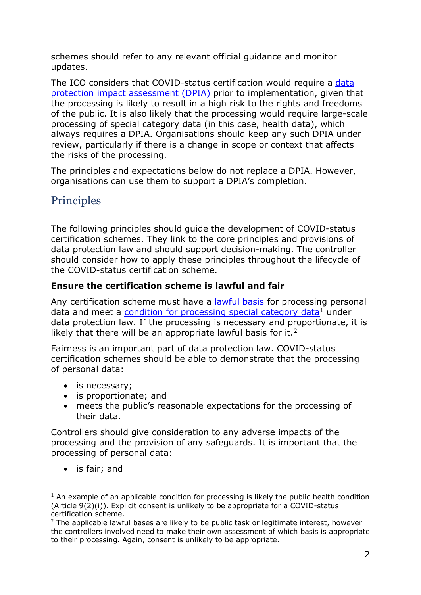schemes should refer to any relevant official guidance and monitor updates.

The ICO considers that COVID-status certification would require a data [protection impact assessment \(DPIA\)](https://ico.org.uk/for-organisations/guide-to-data-protection/guide-to-the-general-data-protection-regulation-gdpr/accountability-and-governance/data-protection-impact-assessments/) prior to implementation, given that the processing is likely to result in a high risk to the rights and freedoms of the public. It is also likely that the processing would require large-scale processing of special category data (in this case, health data), which always requires a DPIA. Organisations should keep any such DPIA under review, particularly if there is a change in scope or context that affects the risks of the processing.

The principles and expectations below do not replace a DPIA. However, organisations can use them to support a DPIA's completion.

# Principles

The following principles should guide the development of COVID-status certification schemes. They link to the core principles and provisions of data protection law and should support decision-making. The controller should consider how to apply these principles throughout the lifecycle of the COVID-status certification scheme.

## **Ensure the certification scheme is lawful and fair**

Any certification scheme must have a [lawful basis](https://ico.org.uk/for-organisations/guide-to-data-protection/guide-to-the-general-data-protection-regulation-gdpr/lawful-basis-for-processing/) for processing personal data and meet a [condition for processing special category data](https://ico.org.uk/for-organisations/guide-to-data-protection/guide-to-the-general-data-protection-regulation-gdpr/special-category-data/what-are-the-conditions-for-processing/)<sup>[1](#page-1-0)</sup> under data protection law. If the processing is necessary and proportionate, it is likely that there will be an appropriate lawful basis for it.<sup>2</sup>

Fairness is an important part of data protection law. COVID-status certification schemes should be able to demonstrate that the processing of personal data:

- is necessary;
- is proportionate; and
- meets the public's reasonable expectations for the processing of their data.

Controllers should give consideration to any adverse impacts of the processing and the provision of any safeguards. It is important that the processing of personal data:

• is fair; and

<span id="page-1-0"></span> $1$  An example of an applicable condition for processing is likely the public health condition (Article 9(2)(i)). Explicit consent is unlikely to be appropriate for a COVID-status certification scheme.

<span id="page-1-1"></span> $2$  The applicable lawful bases are likely to be public task or legitimate interest, however the controllers involved need to make their own assessment of which basis is appropriate to their processing. Again, consent is unlikely to be appropriate.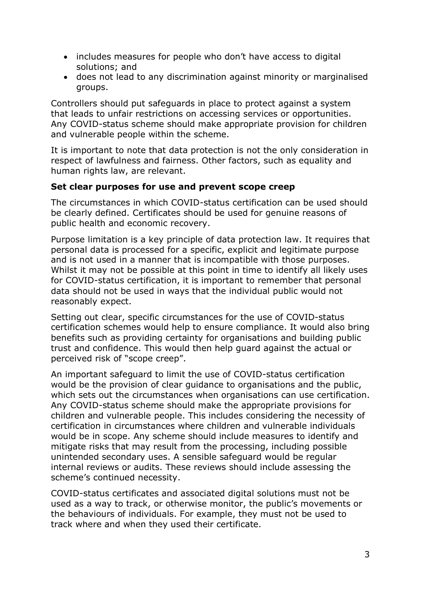- includes measures for people who don't have access to digital solutions; and
- does not lead to any discrimination against minority or marginalised groups.

Controllers should put safeguards in place to protect against a system that leads to unfair restrictions on accessing services or opportunities. Any COVID-status scheme should make appropriate provision for children and vulnerable people within the scheme.

It is important to note that data protection is not the only consideration in respect of lawfulness and fairness. Other factors, such as equality and human rights law, are relevant.

### **Set clear purposes for use and prevent scope creep**

The circumstances in which COVID-status certification can be used should be clearly defined. Certificates should be used for genuine reasons of public health and economic recovery.

Purpose limitation is a key principle of data protection law. It requires that personal data is processed for a specific, explicit and legitimate purpose and is not used in a manner that is incompatible with those purposes. Whilst it may not be possible at this point in time to identify all likely uses for COVID-status certification, it is important to remember that personal data should not be used in ways that the individual public would not reasonably expect.

Setting out clear, specific circumstances for the use of COVID-status certification schemes would help to ensure compliance. It would also bring benefits such as providing certainty for organisations and building public trust and confidence. This would then help guard against the actual or perceived risk of "scope creep".

An important safeguard to limit the use of COVID-status certification would be the provision of clear guidance to organisations and the public, which sets out the circumstances when organisations can use certification. Any COVID-status scheme should make the appropriate provisions for children and vulnerable people. This includes considering the necessity of certification in circumstances where children and vulnerable individuals would be in scope. Any scheme should include measures to identify and mitigate risks that may result from the processing, including possible unintended secondary uses. A sensible safeguard would be regular internal reviews or audits. These reviews should include assessing the scheme's continued necessity.

COVID-status certificates and associated digital solutions must not be used as a way to track, or otherwise monitor, the public's movements or the behaviours of individuals. For example, they must not be used to track where and when they used their certificate.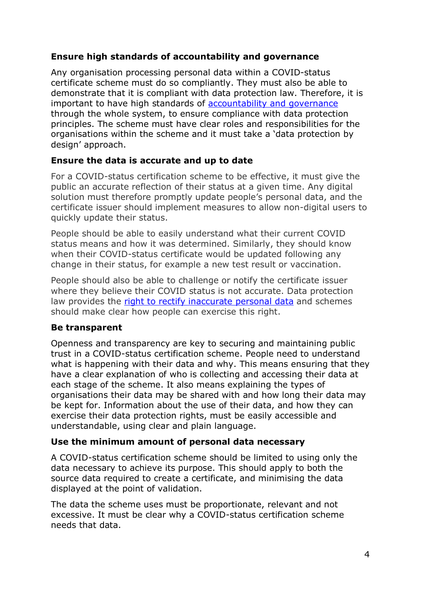## **Ensure high standards of accountability and governance**

Any organisation processing personal data within a COVID-status certificate scheme must do so compliantly. They must also be able to demonstrate that it is compliant with data protection law. Therefore, it is important to have high standards of [accountability and governance](https://ico.org.uk/for-organisations/guide-to-data-protection/guide-to-the-general-data-protection-regulation-gdpr/accountability-and-governance/) through the whole system, to ensure compliance with data protection principles. The scheme must have clear roles and responsibilities for the organisations within the scheme and it must take a 'data protection by design' approach.

## **Ensure the data is accurate and up to date**

For a COVID-status certification scheme to be effective, it must give the public an accurate reflection of their status at a given time. Any digital solution must therefore promptly update people's personal data, and the certificate issuer should implement measures to allow non-digital users to quickly update their status.

People should be able to easily understand what their current COVID status means and how it was determined. Similarly, they should know when their COVID-status certificate would be updated following any change in their status, for example a new test result or vaccination.

People should also be able to challenge or notify the certificate issuer where they believe their COVID status is not accurate. Data protection law provides the [right to rectify inaccurate personal data](https://ico.org.uk/for-organisations/guide-to-data-protection/guide-to-the-general-data-protection-regulation-gdpr/individual-rights/right-to-rectification/) and schemes should make clear how people can exercise this right.

## **Be transparent**

Openness and transparency are key to securing and maintaining public trust in a COVID-status certification scheme. People need to understand what is happening with their data and why. This means ensuring that they have a clear explanation of who is collecting and accessing their data at each stage of the scheme. It also means explaining the types of organisations their data may be shared with and how long their data may be kept for. Information about the use of their data, and how they can exercise their data protection rights, must be easily accessible and understandable, using clear and plain language.

### **Use the minimum amount of personal data necessary**

A COVID-status certification scheme should be limited to using only the data necessary to achieve its purpose. This should apply to both the source data required to create a certificate, and minimising the data displayed at the point of validation.

The data the scheme uses must be proportionate, relevant and not excessive. It must be clear why a COVID-status certification scheme needs that data.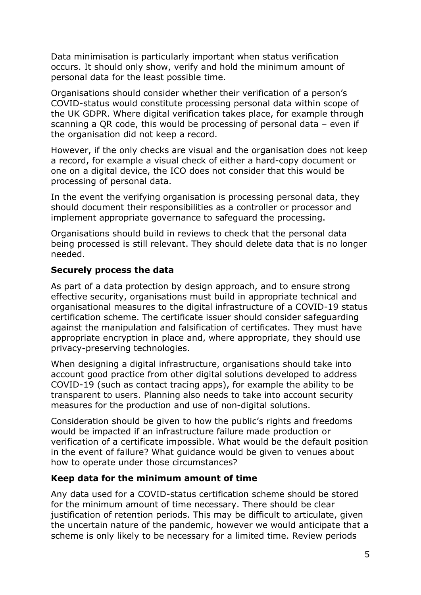Data minimisation is particularly important when status verification occurs. It should only show, verify and hold the minimum amount of personal data for the least possible time.

Organisations should consider whether their verification of a person's COVID-status would constitute processing personal data within scope of the UK GDPR. Where digital verification takes place, for example through scanning a QR code, this would be processing of personal data – even if the organisation did not keep a record.

However, if the only checks are visual and the organisation does not keep a record, for example a visual check of either a hard-copy document or one on a digital device, the ICO does not consider that this would be processing of personal data.

In the event the verifying organisation is processing personal data, they should document their responsibilities as a controller or processor and implement appropriate governance to safeguard the processing.

Organisations should build in reviews to check that the personal data being processed is still relevant. They should delete data that is no longer needed.

## **Securely process the data**

As part of a data protection by design approach, and to ensure strong effective security, organisations must build in appropriate technical and organisational measures to the digital infrastructure of a COVID-19 status certification scheme. The certificate issuer should consider safeguarding against the manipulation and falsification of certificates. They must have appropriate encryption in place and, where appropriate, they should use privacy-preserving technologies.

When designing a digital infrastructure, organisations should take into account good practice from other digital solutions developed to address COVID-19 (such as contact tracing apps), for example the ability to be transparent to users. Planning also needs to take into account security measures for the production and use of non-digital solutions.

Consideration should be given to how the public's rights and freedoms would be impacted if an infrastructure failure made production or verification of a certificate impossible. What would be the default position in the event of failure? What guidance would be given to venues about how to operate under those circumstances?

### **Keep data for the minimum amount of time**

Any data used for a COVID-status certification scheme should be stored for the minimum amount of time necessary. There should be clear justification of retention periods. This may be difficult to articulate, given the uncertain nature of the pandemic, however we would anticipate that a scheme is only likely to be necessary for a limited time. Review periods